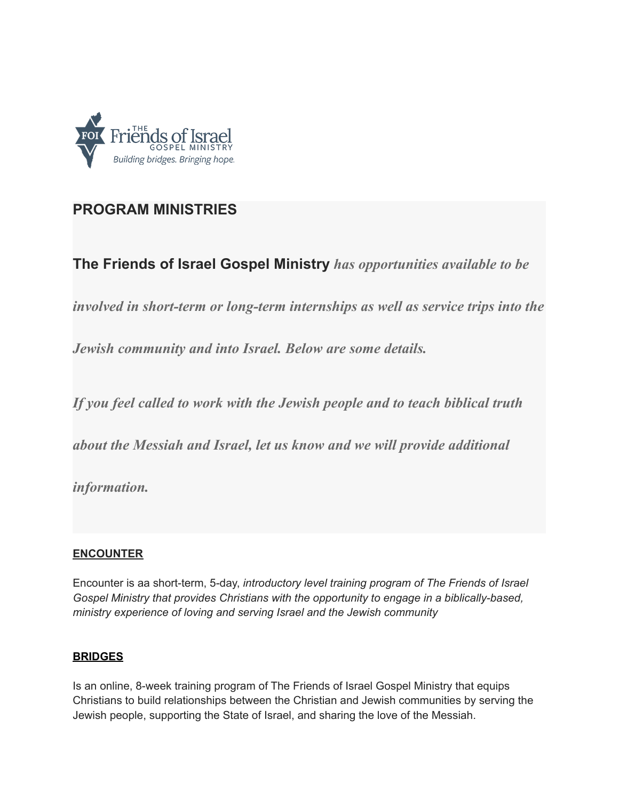

## **PROGRAM MINISTRIES**

**The Friends of Israel Gospel Ministry** *has opportunities available to be*

*involved in short-term or long-term internships as well as service trips into the*

*Jewish community and into Israel. Below are some details.*

*If you feel called to work with the Jewish people and to teach biblical truth*

*about the Messiah and Israel, let us know and we will provide additional*

*information.*

## **ENCOUNTER**

Encounter is aa short-term, 5-day, *introductory level training program of The Friends of Israel Gospel Ministry that provides Christians with the opportunity to engage in a biblically-based, ministry experience of loving and serving Israel and the Jewish community*

## **BRIDGES**

Is an online, 8-week training program of The Friends of Israel Gospel Ministry that equips Christians to build relationships between the Christian and Jewish communities by serving the Jewish people, supporting the State of Israel, and sharing the love of the Messiah.